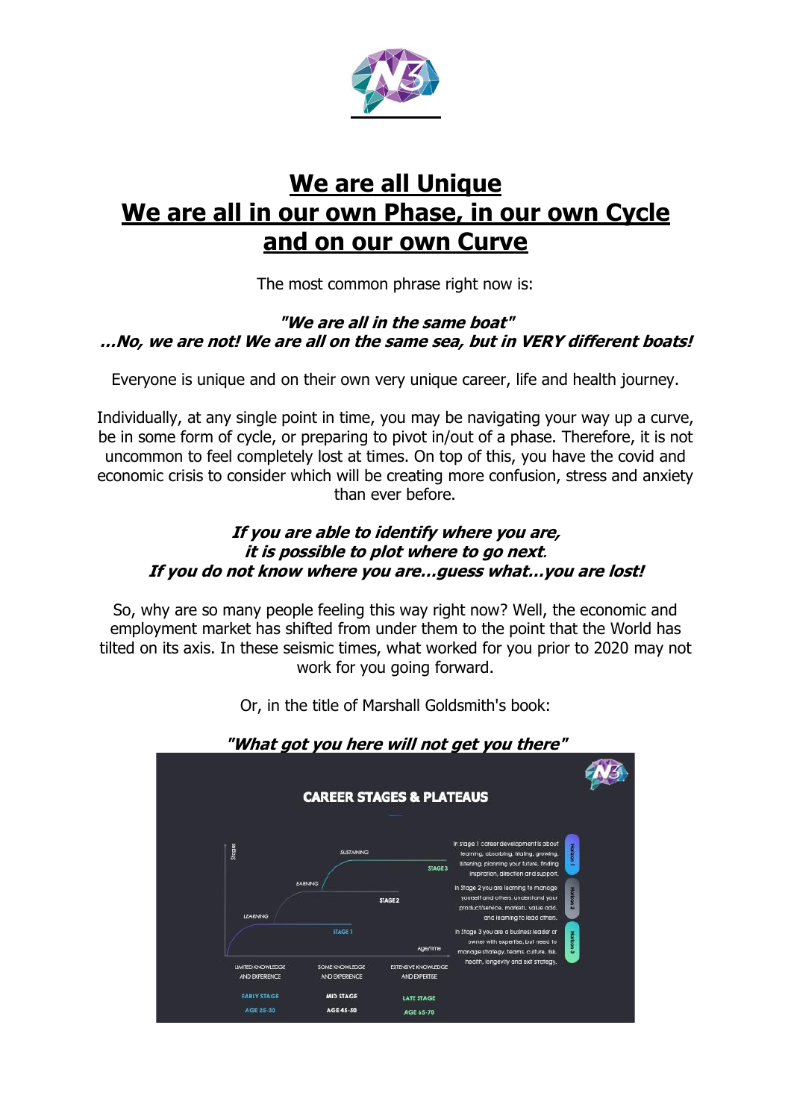

## **We are all Unique We are all in our own Phase, in our own Cycle and on our own Curve**

The most common phrase right now is:

### **"We are all in the same boat" …No, we are not! We are all on the same sea, but in VERY different boats!**

Everyone is unique and on their own very unique career, life and health journey.

Individually, at any single point in time, you may be navigating your way up a curve, be in some form of cycle, or preparing to pivot in/out of a phase. Therefore, it is not uncommon to feel completely lost at times. On top of this, you have the covid and economic crisis to consider which will be creating more confusion, stress and anxiety than ever before.

### **If you are able to identify where you are, it is possible to plot where to go next**. **If you do not know where you are…guess what…you are lost!**

So, why are so many people feeling this way right now? Well, the economic and employment market has shifted from under them to the point that the World has tilted on its axis. In these seismic times, what worked for you prior to 2020 may not work for you going forward.



Or, in the title of Marshall Goldsmith's book: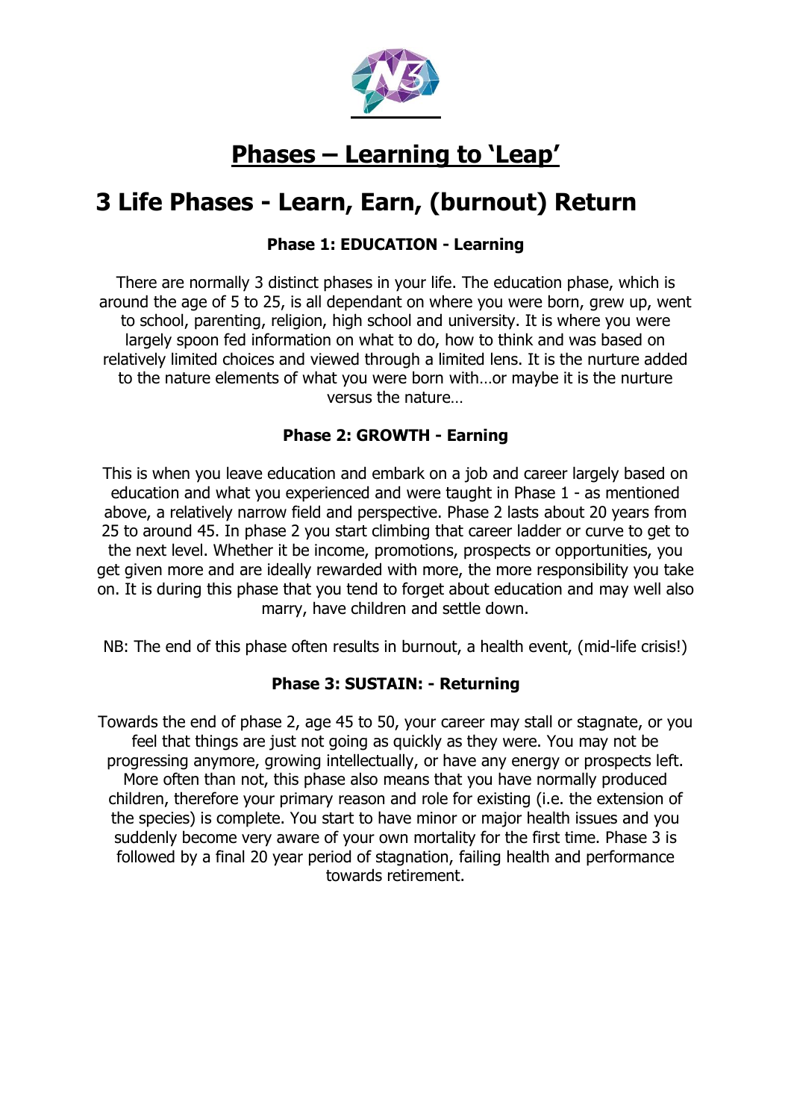

## **Phases – Learning to 'Leap'**

## **3 Life Phases - Learn, Earn, (burnout) Return**

### **Phase 1: EDUCATION - Learning**

There are normally 3 distinct phases in your life. The education phase, which is around the age of 5 to 25, is all dependant on where you were born, grew up, went to school, parenting, religion, high school and university. It is where you were largely spoon fed information on what to do, how to think and was based on relatively limited choices and viewed through a limited lens. It is the nurture added to the nature elements of what you were born with…or maybe it is the nurture versus the nature…

### **Phase 2: GROWTH - Earning**

This is when you leave education and embark on a job and career largely based on education and what you experienced and were taught in Phase 1 - as mentioned above, a relatively narrow field and perspective. Phase 2 lasts about 20 years from 25 to around 45. In phase 2 you start climbing that career ladder or curve to get to the next level. Whether it be income, promotions, prospects or opportunities, you get given more and are ideally rewarded with more, the more responsibility you take on. It is during this phase that you tend to forget about education and may well also marry, have children and settle down.

NB: The end of this phase often results in burnout, a health event, (mid-life crisis!)

### **Phase 3: SUSTAIN: - Returning**

Towards the end of phase 2, age 45 to 50, your career may stall or stagnate, or you feel that things are just not going as quickly as they were. You may not be progressing anymore, growing intellectually, or have any energy or prospects left. More often than not, this phase also means that you have normally produced children, therefore your primary reason and role for existing (i.e. the extension of the species) is complete. You start to have minor or major health issues and you suddenly become very aware of your own mortality for the first time. Phase 3 is followed by a final 20 year period of stagnation, failing health and performance towards retirement.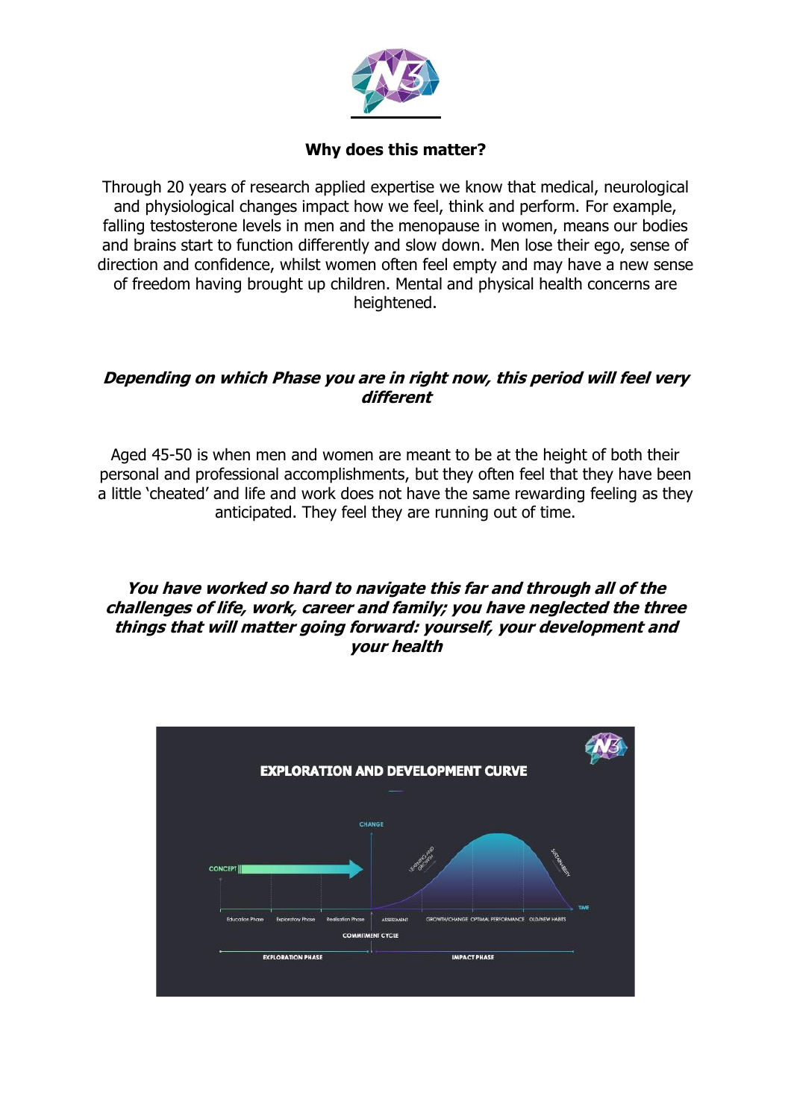

### **Why does this matter?**

Through 20 years of research applied expertise we know that medical, neurological and physiological changes impact how we feel, think and perform. For example, falling testosterone levels in men and the menopause in women, means our bodies and brains start to function differently and slow down. Men lose their ego, sense of direction and confidence, whilst women often feel empty and may have a new sense of freedom having brought up children. Mental and physical health concerns are heightened.

### **Depending on which Phase you are in right now, this period will feel very different**

Aged 45-50 is when men and women are meant to be at the height of both their personal and professional accomplishments, but they often feel that they have been a little 'cheated' and life and work does not have the same rewarding feeling as they anticipated. They feel they are running out of time.

**You have worked so hard to navigate this far and through all of the challenges of life, work, career and family; you have neglected the three things that will matter going forward: yourself, your development and your health**

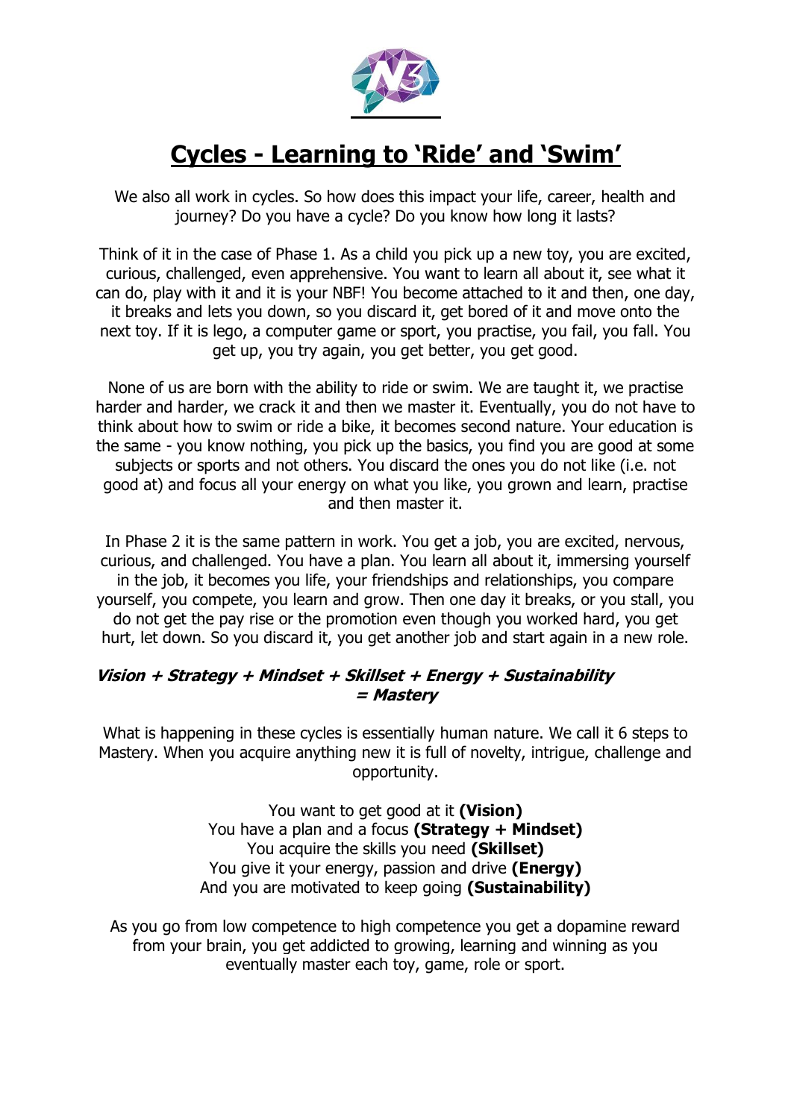

# **Cycles - Learning to 'Ride' and 'Swim'**

We also all work in cycles. So how does this impact your life, career, health and journey? Do you have a cycle? Do you know how long it lasts?

Think of it in the case of Phase 1. As a child you pick up a new toy, you are excited, curious, challenged, even apprehensive. You want to learn all about it, see what it can do, play with it and it is your NBF! You become attached to it and then, one day, it breaks and lets you down, so you discard it, get bored of it and move onto the next toy. If it is lego, a computer game or sport, you practise, you fail, you fall. You get up, you try again, you get better, you get good.

None of us are born with the ability to ride or swim. We are taught it, we practise harder and harder, we crack it and then we master it. Eventually, you do not have to think about how to swim or ride a bike, it becomes second nature. Your education is the same - you know nothing, you pick up the basics, you find you are good at some subjects or sports and not others. You discard the ones you do not like (i.e. not good at) and focus all your energy on what you like, you grown and learn, practise and then master it.

In Phase 2 it is the same pattern in work. You get a job, you are excited, nervous, curious, and challenged. You have a plan. You learn all about it, immersing yourself in the job, it becomes you life, your friendships and relationships, you compare yourself, you compete, you learn and grow. Then one day it breaks, or you stall, you do not get the pay rise or the promotion even though you worked hard, you get hurt, let down. So you discard it, you get another job and start again in a new role.

### **Vision <sup>+</sup> Strategy <sup>+</sup> Mindset <sup>+</sup> Skillset <sup>+</sup> Energy <sup>+</sup> Sustainability = Mastery**

What is happening in these cycles is essentially human nature. We call it 6 steps to Mastery. When you acquire anything new it is full of novelty, intrigue, challenge and opportunity.

> You want to get good at it **(Vision)** You have a plan and a focus **(Strategy + Mindset)** You acquire the skills you need **(Skillset)** You give it your energy, passion and drive **(Energy)** And you are motivated to keep going **(Sustainability)**

As you go from low competence to high competence you get a dopamine reward from your brain, you get addicted to growing, learning and winning as you eventually master each toy, game, role or sport.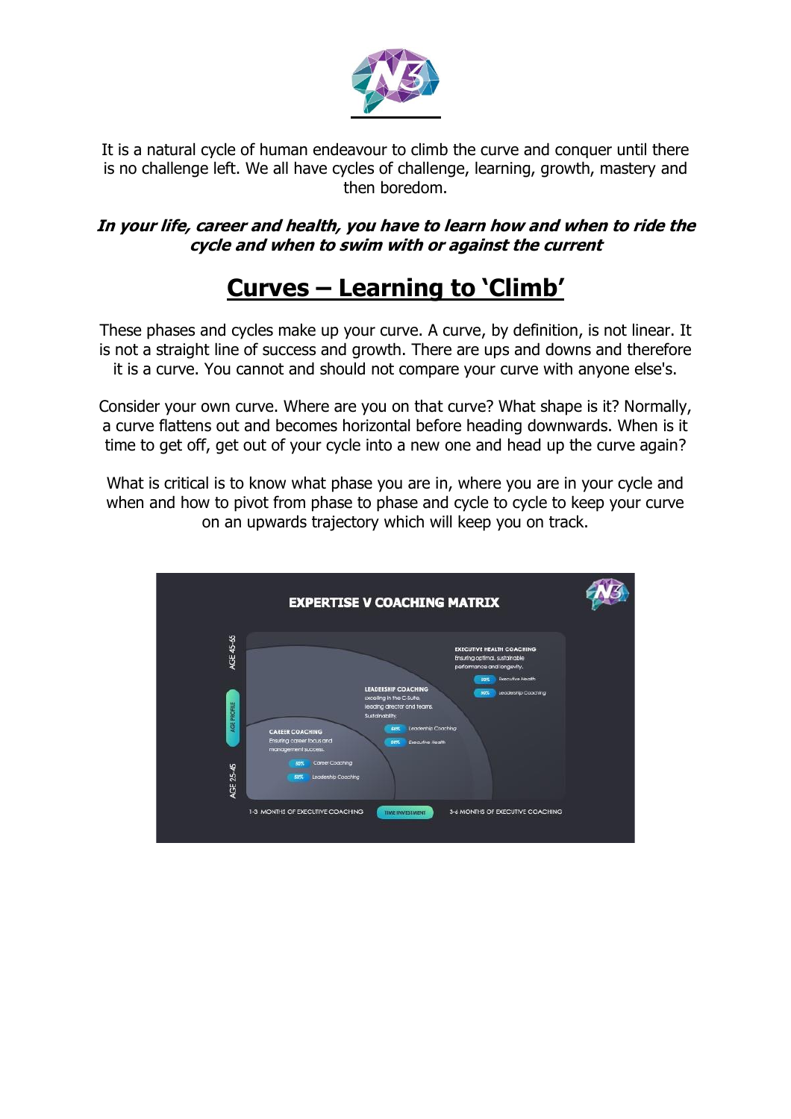

It is a natural cycle of human endeavour to climb the curve and conquer until there is no challenge left. We all have cycles of challenge, learning, growth, mastery and then boredom.

### **In your life, career and health, you have to learn how and when to ride the cycle and when to swim with or against the current**

# **Curves – Learning to 'Climb'**

These phases and cycles make up your curve. A curve, by definition, is not linear. It is not a straight line of success and growth. There are ups and downs and therefore it is a curve. You cannot and should not compare your curve with anyone else's.

Consider your own curve. Where are you on that curve? What shape is it? Normally, a curve flattens out and becomes horizontal before heading downwards. When is it time to get off, get out of your cycle into a new one and head up the curve again?

What is critical is to know what phase you are in, where you are in your cycle and when and how to pivot from phase to phase and cycle to cycle to keep your curve on an upwards trajectory which will keep you on track.